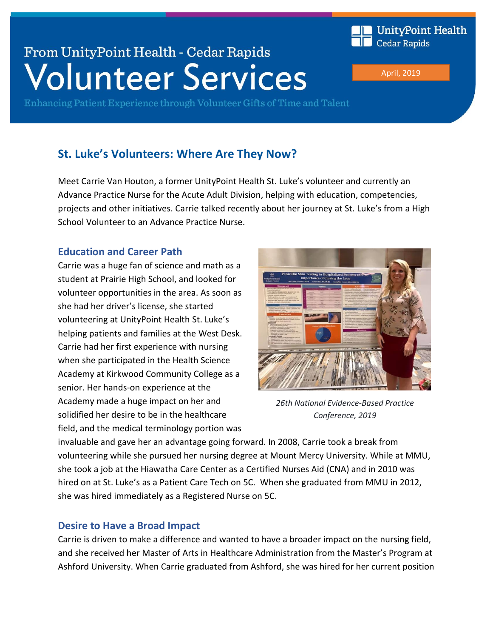

Enhancing Patient Experience through Volunteer Gifts of Time and Talent

# **St. Luke's Volunteers: Where Are They Now?**

Meet Carrie Van Houton, a former UnityPoint Health St. Luke's volunteer and currently an Advance Practice Nurse for the Acute Adult Division, helping with education, competencies, projects and other initiatives. Carrie talked recently about her journey at St. Luke's from a High School Volunteer to an Advance Practice Nurse.

## **Education and Career Path**

Carrie was a huge fan of science and math as a student at Prairie High School, and looked for volunteer opportunities in the area. As soon as she had her driver's license, she started volunteering at UnityPoint Health St. Luke's helping patients and families at the West Desk. Carrie had her first experience with nursing when she participated in the Health Science Academy at Kirkwood Community College as a senior. Her hands-on experience at the Academy made a huge impact on her and solidified her desire to be in the healthcare field, and the medical terminology portion was



*26th National Evidence-Based Practice Conference, 2019*

invaluable and gave her an advantage going forward. In 2008, Carrie took a break from volunteering while she pursued her nursing degree at Mount Mercy University. While at MMU, she took a job at the Hiawatha Care Center as a Certified Nurses Aid (CNA) and in 2010 was *2016* hired on at St. Luke's as a Patient Care Tech on 5C. When she graduated from MMU in 2012, she was hired immediately as a Registered Nurse on 5C.

## **Desire to Have a Broad Impact**

Carrie is driven to make a difference and wanted to have a broader impact on the nursing field, and she received her Master of Arts in Healthcare Administration from the Master's Program at Ashford University. When Carrie graduated from Ashford, she was hired for her current position

April, 2019

**Cedar Rapids** 

UnityPoint Health